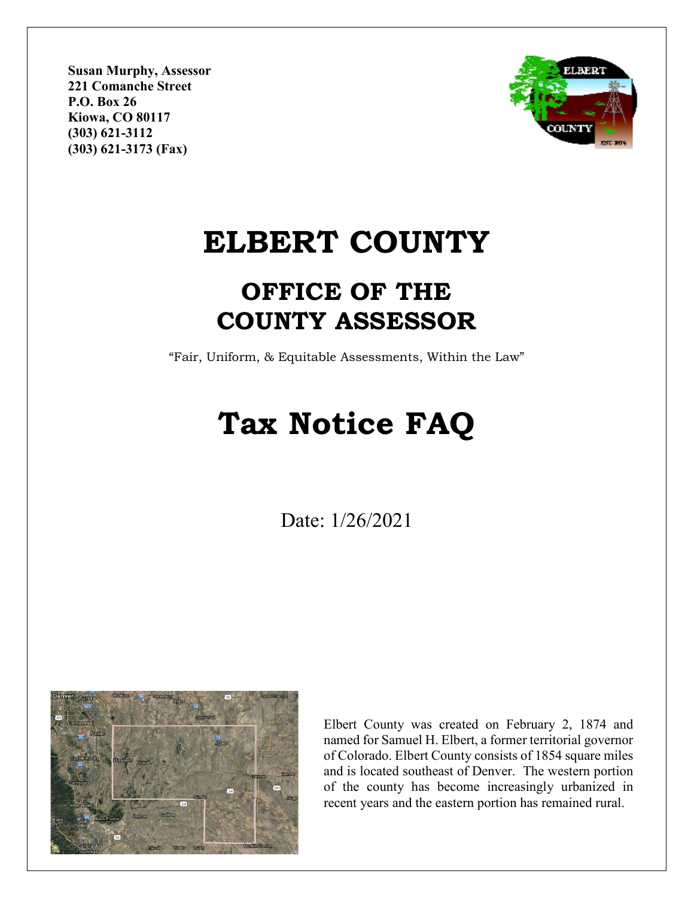**Susan Murphy, Assessor 221 Comanche Street P.O. Box 26 Kiowa, CO 80117 (303) 621-3112 (303) 621-3173 (Fax)**



## **ELBERT COUNTY**

### **OFFICE OF THE COUNTY ASSESSOR**

"Fair, Uniform, & Equitable Assessments, Within the Law"

# **Tax Notice FAQ**

Date: 1/26/2021



Elbert County was created on February 2, 1874 and named for Samuel H. Elbert, a former territorial governor of Colorado. Elbert County consists of 1854 square miles and is located southeast of Denver. The western portion of the county has become increasingly urbanized in recent years and the eastern portion has remained rural.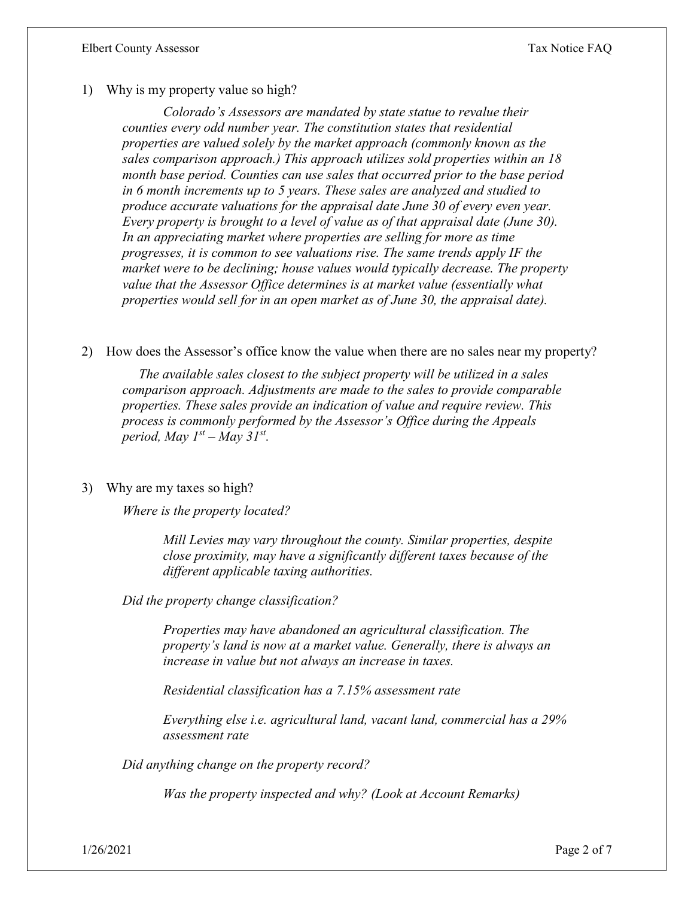1) Why is my property value so high?

*Colorado's Assessors are mandated by state statue to revalue their counties every odd number year. The constitution states that residential properties are valued solely by the market approach (commonly known as the sales comparison approach.) This approach utilizes sold properties within an 18 month base period. Counties can use sales that occurred prior to the base period in 6 month increments up to 5 years. These sales are analyzed and studied to produce accurate valuations for the appraisal date June 30 of every even year. Every property is brought to a level of value as of that appraisal date (June 30). In an appreciating market where properties are selling for more as time progresses, it is common to see valuations rise. The same trends apply IF the market were to be declining; house values would typically decrease. The property value that the Assessor Office determines is at market value (essentially what properties would sell for in an open market as of June 30, the appraisal date).*

2) How does the Assessor's office know the value when there are no sales near my property?

*The available sales closest to the subject property will be utilized in a sales comparison approach. Adjustments are made to the sales to provide comparable properties. These sales provide an indication of value and require review. This process is commonly performed by the Assessor's Office during the Appeals period, May*  $I^{st}$  *– May 31<sup>st</sup>.* 

#### 3) Why are my taxes so high?

*Where is the property located?*

*Mill Levies may vary throughout the county. Similar properties, despite close proximity, may have a significantly different taxes because of the different applicable taxing authorities.* 

*Did the property change classification?* 

*Properties may have abandoned an agricultural classification. The property's land is now at a market value. Generally, there is always an increase in value but not always an increase in taxes.*

*Residential classification has a 7.15% assessment rate*

*Everything else i.e. agricultural land, vacant land, commercial has a 29% assessment rate*

*Did anything change on the property record?*

*Was the property inspected and why? (Look at Account Remarks)*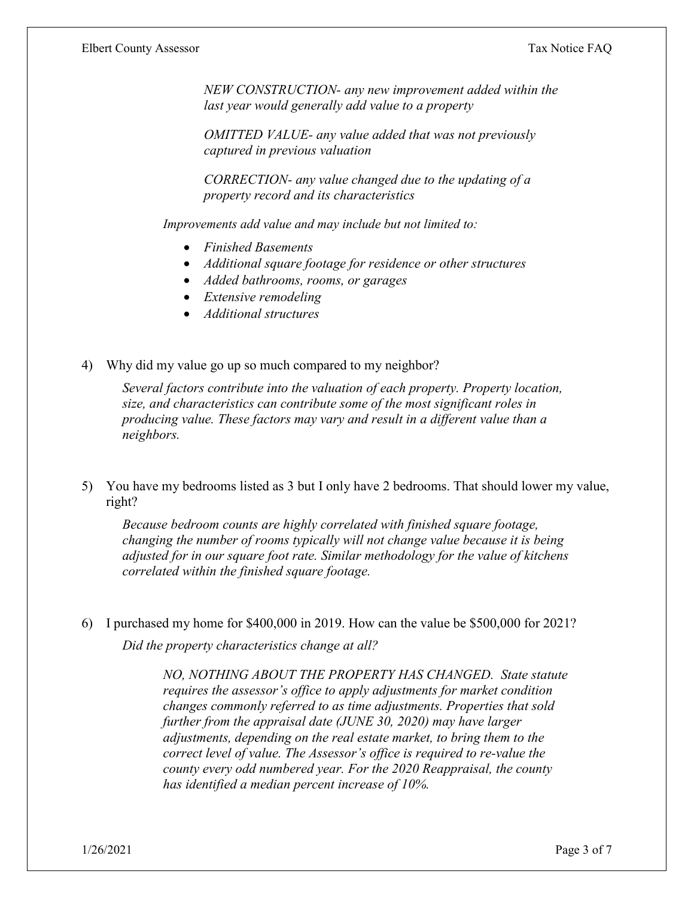*NEW CONSTRUCTION- any new improvement added within the last year would generally add value to a property*

*OMITTED VALUE- any value added that was not previously captured in previous valuation*

*CORRECTION- any value changed due to the updating of a property record and its characteristics*

*Improvements add value and may include but not limited to:*

- *Finished Basements*
- *Additional square footage for residence or other structures*
- *Added bathrooms, rooms, or garages*
- *Extensive remodeling*
- *Additional structures*
- 4) Why did my value go up so much compared to my neighbor?

*Several factors contribute into the valuation of each property. Property location, size, and characteristics can contribute some of the most significant roles in producing value. These factors may vary and result in a different value than a neighbors.* 

5) You have my bedrooms listed as 3 but I only have 2 bedrooms. That should lower my value, right?

*Because bedroom counts are highly correlated with finished square footage, changing the number of rooms typically will not change value because it is being adjusted for in our square foot rate. Similar methodology for the value of kitchens correlated within the finished square footage.* 

6) I purchased my home for \$400,000 in 2019. How can the value be \$500,000 for 2021? *Did the property characteristics change at all?* 

> *NO, NOTHING ABOUT THE PROPERTY HAS CHANGED. State statute requires the assessor's office to apply adjustments for market condition changes commonly referred to as time adjustments. Properties that sold further from the appraisal date (JUNE 30, 2020) may have larger adjustments, depending on the real estate market, to bring them to the correct level of value. The Assessor's office is required to re-value the county every odd numbered year. For the 2020 Reappraisal, the county has identified a median percent increase of 10%.*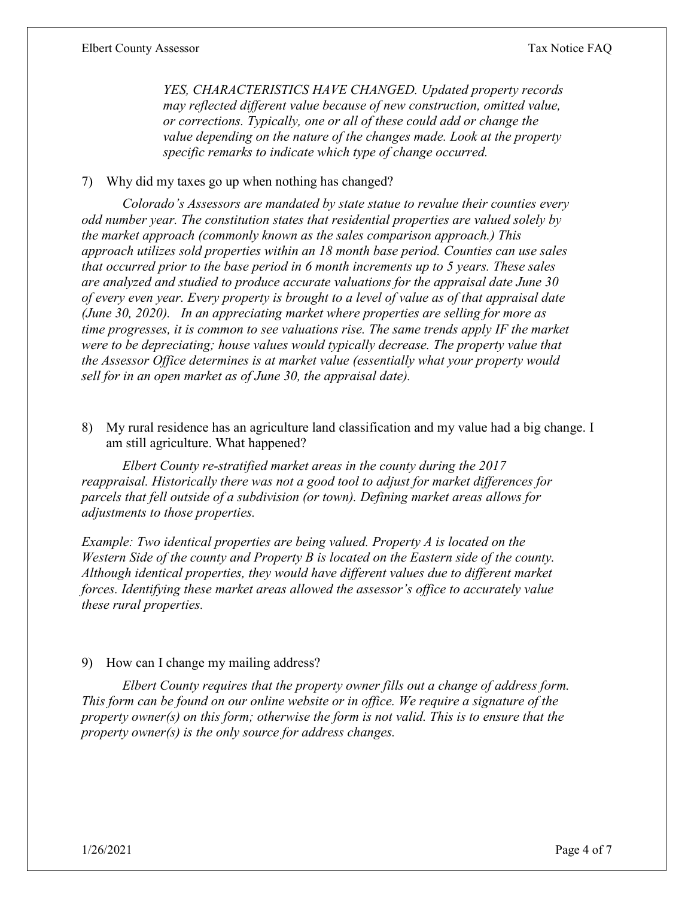*YES, CHARACTERISTICS HAVE CHANGED. Updated property records may reflected different value because of new construction, omitted value, or corrections. Typically, one or all of these could add or change the value depending on the nature of the changes made. Look at the property specific remarks to indicate which type of change occurred.*

#### 7) Why did my taxes go up when nothing has changed?

*Colorado's Assessors are mandated by state statue to revalue their counties every odd number year. The constitution states that residential properties are valued solely by the market approach (commonly known as the sales comparison approach.) This approach utilizes sold properties within an 18 month base period. Counties can use sales that occurred prior to the base period in 6 month increments up to 5 years. These sales are analyzed and studied to produce accurate valuations for the appraisal date June 30 of every even year. Every property is brought to a level of value as of that appraisal date (June 30, 2020). In an appreciating market where properties are selling for more as time progresses, it is common to see valuations rise. The same trends apply IF the market were to be depreciating; house values would typically decrease. The property value that the Assessor Office determines is at market value (essentially what your property would sell for in an open market as of June 30, the appraisal date).*

8) My rural residence has an agriculture land classification and my value had a big change. I am still agriculture. What happened?

*Elbert County re-stratified market areas in the county during the 2017 reappraisal. Historically there was not a good tool to adjust for market differences for parcels that fell outside of a subdivision (or town). Defining market areas allows for adjustments to those properties.*

*Example: Two identical properties are being valued. Property A is located on the Western Side of the county and Property B is located on the Eastern side of the county. Although identical properties, they would have different values due to different market forces. Identifying these market areas allowed the assessor's office to accurately value these rural properties.* 

#### 9) How can I change my mailing address?

*Elbert County requires that the property owner fills out a change of address form. This form can be found on our online website or in office. We require a signature of the property owner(s) on this form; otherwise the form is not valid. This is to ensure that the property owner(s) is the only source for address changes.*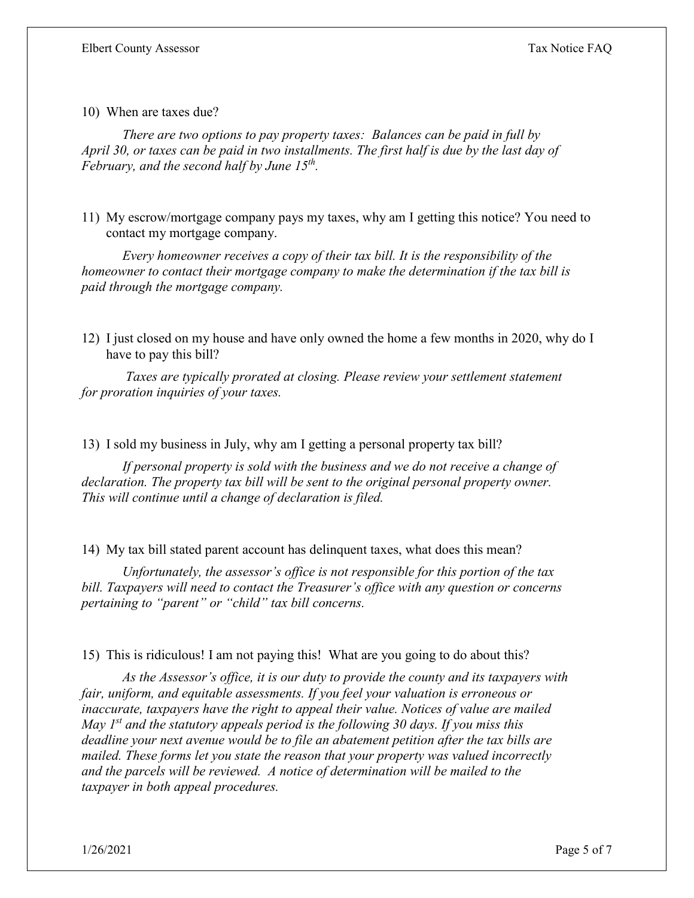10) When are taxes due?

*There are two options to pay property taxes: Balances can be paid in full by April 30, or taxes can be paid in two installments. The first half is due by the last day of February, and the second half by June 15th.* 

11) My escrow/mortgage company pays my taxes, why am I getting this notice? You need to contact my mortgage company.

*Every homeowner receives a copy of their tax bill. It is the responsibility of the homeowner to contact their mortgage company to make the determination if the tax bill is paid through the mortgage company.* 

12) I just closed on my house and have only owned the home a few months in 2020, why do I have to pay this bill?

*Taxes are typically prorated at closing. Please review your settlement statement for proration inquiries of your taxes.*

13) I sold my business in July, why am I getting a personal property tax bill?

*If personal property is sold with the business and we do not receive a change of declaration. The property tax bill will be sent to the original personal property owner. This will continue until a change of declaration is filed.* 

14) My tax bill stated parent account has delinquent taxes, what does this mean?

*Unfortunately, the assessor's office is not responsible for this portion of the tax bill. Taxpayers will need to contact the Treasurer's office with any question or concerns pertaining to "parent" or "child" tax bill concerns.*

15) This is ridiculous! I am not paying this! What are you going to do about this?

*As the Assessor's office, it is our duty to provide the county and its taxpayers with fair, uniform, and equitable assessments. If you feel your valuation is erroneous or inaccurate, taxpayers have the right to appeal their value. Notices of value are mailed May 1st and the statutory appeals period is the following 30 days. If you miss this deadline your next avenue would be to file an abatement petition after the tax bills are mailed. These forms let you state the reason that your property was valued incorrectly and the parcels will be reviewed. A notice of determination will be mailed to the taxpayer in both appeal procedures.*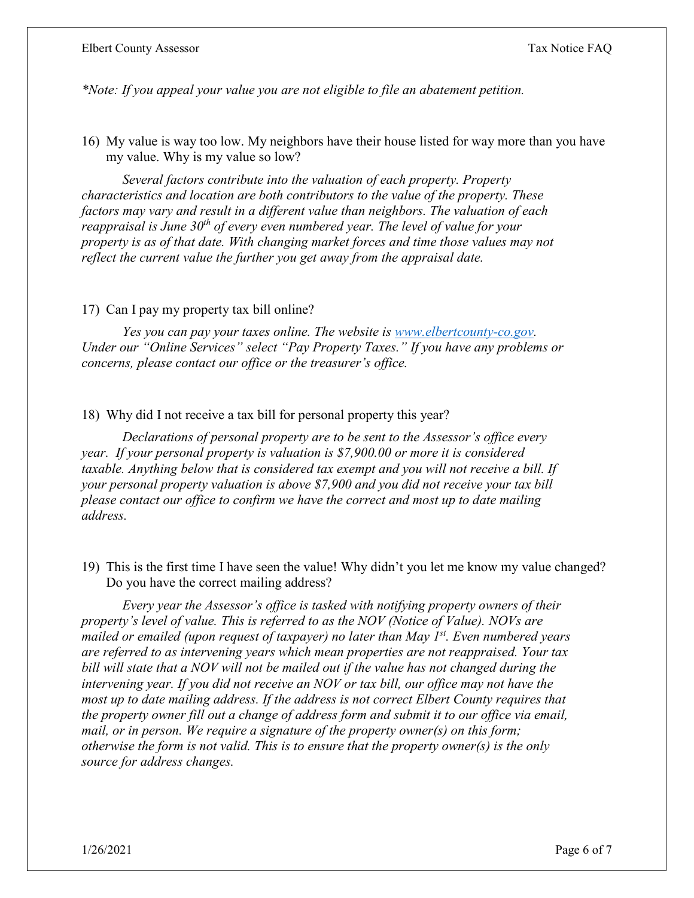*\*Note: If you appeal your value you are not eligible to file an abatement petition.*

16) My value is way too low. My neighbors have their house listed for way more than you have my value. Why is my value so low?

*Several factors contribute into the valuation of each property. Property characteristics and location are both contributors to the value of the property. These factors may vary and result in a different value than neighbors. The valuation of each reappraisal is June 30th of every even numbered year. The level of value for your property is as of that date. With changing market forces and time those values may not reflect the current value the further you get away from the appraisal date.* 

#### 17) Can I pay my property tax bill online?

*Yes you can pay your taxes online. The website is [www.elbertcounty-co.gov.](http://www.elbertcounty-co.gov/) Under our "Online Services" select "Pay Property Taxes." If you have any problems or concerns, please contact our office or the treasurer's office.* 

#### 18) Why did I not receive a tax bill for personal property this year?

*Declarations of personal property are to be sent to the Assessor's office every year. If your personal property is valuation is \$7,900.00 or more it is considered taxable. Anything below that is considered tax exempt and you will not receive a bill. If your personal property valuation is above \$7,900 and you did not receive your tax bill please contact our office to confirm we have the correct and most up to date mailing address.* 

19) This is the first time I have seen the value! Why didn't you let me know my value changed? Do you have the correct mailing address?

*Every year the Assessor's office is tasked with notifying property owners of their property's level of value. This is referred to as the NOV (Notice of Value). NOVs are mailed or emailed (upon request of taxpayer) no later than May 1st. Even numbered years are referred to as intervening years which mean properties are not reappraised. Your tax bill will state that a NOV will not be mailed out if the value has not changed during the intervening year. If you did not receive an NOV or tax bill, our office may not have the most up to date mailing address. If the address is not correct Elbert County requires that the property owner fill out a change of address form and submit it to our office via email, mail, or in person. We require a signature of the property owner(s) on this form; otherwise the form is not valid. This is to ensure that the property owner(s) is the only source for address changes.*